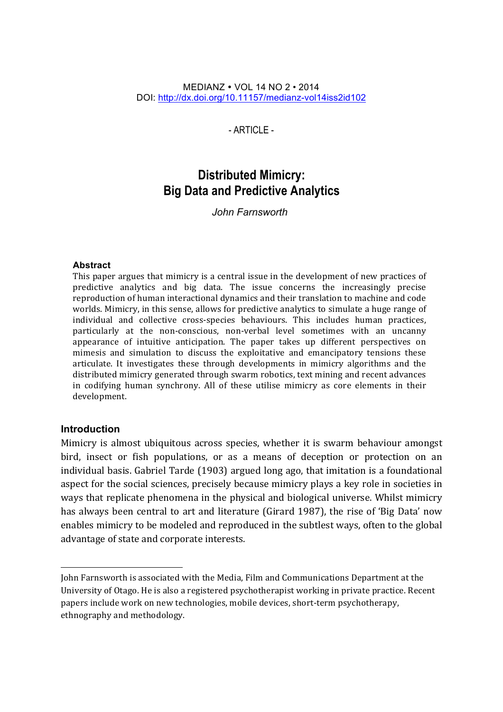#### MEDIANZ • VOL 14 NO 2 • 2014 DOI: http://dx.doi.org/10.11157/medianz-vol14iss2id102

- ARTICLE -

# **Distributed Mimicry: Big Data and Predictive Analytics**

*John Farnsworth* 

#### **Abstract**

This paper argues that mimicry is a central issue in the development of new practices of predictive analytics and big data. The issue concerns the increasingly precise reproduction of human interactional dynamics and their translation to machine and code worlds. Mimicry, in this sense, allows for predictive analytics to simulate a huge range of individual and collective cross-species behaviours. This includes human practices, particularly at the non-conscious, non-verbal level sometimes with an uncanny appearance of intuitive anticipation. The paper takes up different perspectives on mimesis and simulation to discuss the exploitative and emancipatory tensions these articulate. It investigates these through developments in mimicry algorithms and the distributed mimicry generated through swarm robotics, text mining and recent advances in codifying human synchrony. All of these utilise mimicry as core elements in their development.

#### **Introduction**

<u> 1989 - Jan Samuel Barbara, margaret e</u>

Mimicry is almost ubiquitous across species, whether it is swarm behaviour amongst bird, insect or fish populations, or as a means of deception or protection on an individual basis. Gabriel Tarde (1903) argued long ago, that imitation is a foundational aspect for the social sciences, precisely because mimicry plays a key role in societies in ways that replicate phenomena in the physical and biological universe. Whilst mimicry has always been central to art and literature (Girard 1987), the rise of 'Big Data' now enables mimicry to be modeled and reproduced in the subtlest ways, often to the global advantage of state and corporate interests.

John Farnsworth is associated with the Media, Film and Communications Department at the University of Otago. He is also a registered psychotherapist working in private practice. Recent papers include work on new technologies, mobile devices, short-term psychotherapy, ethnography and methodology.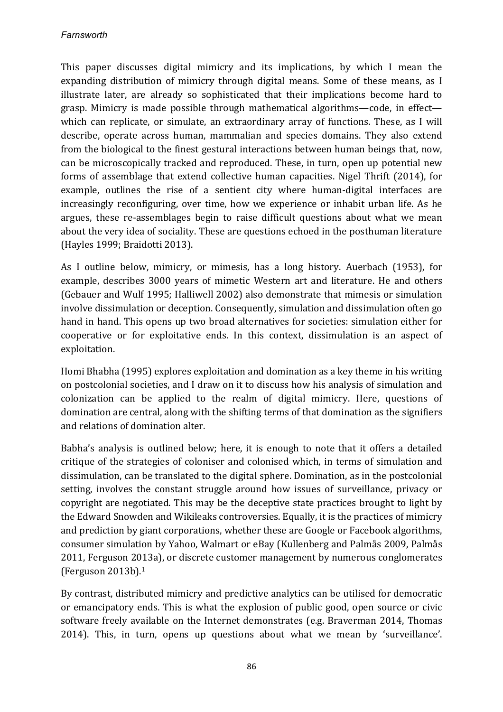### *Farnsworth*

This paper discusses digital mimicry and its implications, by which I mean the expanding distribution of mimicry through digital means. Some of these means, as I illustrate later, are already so sophisticated that their implications become hard to grasp. Mimicry is made possible through mathematical algorithms—code, in effect which can replicate, or simulate, an extraordinary array of functions. These, as I will describe, operate across human, mammalian and species domains. They also extend from the biological to the finest gestural interactions between human beings that, now, can be microscopically tracked and reproduced. These, in turn, open up potential new forms of assemblage that extend collective human capacities. Nigel Thrift (2014), for example, outlines the rise of a sentient city where human-digital interfaces are increasingly reconfiguring, over time, how we experience or inhabit urban life. As he argues, these re-assemblages begin to raise difficult questions about what we mean about the very idea of sociality. These are questions echoed in the posthuman literature (Hayles 1999; Braidotti 2013).

As I outline below, mimicry, or mimesis, has a long history. Auerbach (1953), for example, describes 3000 years of mimetic Western art and literature. He and others (Gebauer and Wulf 1995; Halliwell 2002) also demonstrate that mimesis or simulation involve dissimulation or deception. Consequently, simulation and dissimulation often go hand in hand. This opens up two broad alternatives for societies: simulation either for cooperative or for exploitative ends. In this context, dissimulation is an aspect of exploitation.

Homi Bhabha (1995) explores exploitation and domination as a key theme in his writing on postcolonial societies, and I draw on it to discuss how his analysis of simulation and colonization can be applied to the realm of digital mimicry. Here, questions of domination are central, along with the shifting terms of that domination as the signifiers and relations of domination alter.

Babha's analysis is outlined below; here, it is enough to note that it offers a detailed critique of the strategies of coloniser and colonised which, in terms of simulation and dissimulation, can be translated to the digital sphere. Domination, as in the postcolonial setting, involves the constant struggle around how issues of surveillance, privacy or copyright are negotiated. This may be the deceptive state practices brought to light by the Edward Snowden and Wikileaks controversies. Equally, it is the practices of mimicry and prediction by giant corporations, whether these are Google or Facebook algorithms, consumer simulation by Yahoo, Walmart or eBay (Kullenberg and Palmås 2009, Palmås 2011, Ferguson 2013a), or discrete customer management by numerous conglomerates (Ferguson  $2013b$ ).<sup>1</sup>

By contrast, distributed mimicry and predictive analytics can be utilised for democratic or emancipatory ends. This is what the explosion of public good, open source or civic software freely available on the Internet demonstrates (e.g. Braverman 2014, Thomas 2014). This, in turn, opens up questions about what we mean by 'surveillance'.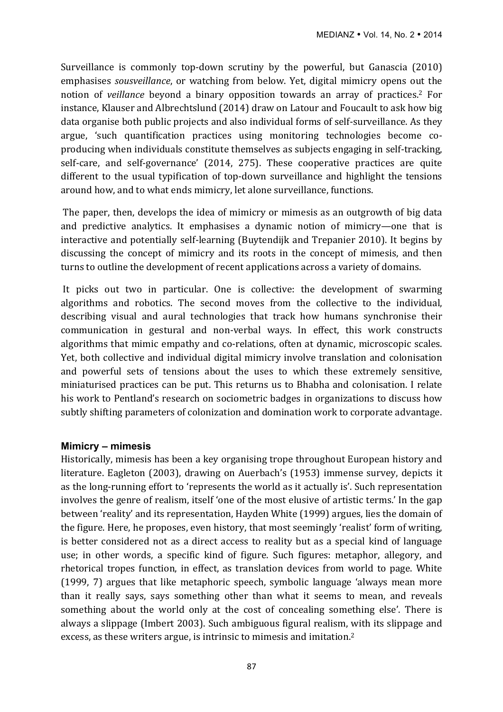Surveillance is commonly top-down scrutiny by the powerful, but Ganascia (2010) emphasises *sousveillance*, or watching from below. Yet, digital mimicry opens out the notion of *veillance* beyond a binary opposition towards an array of practices.<sup>2</sup> For instance, Klauser and Albrechtslund (2014) draw on Latour and Foucault to ask how big data organise both public projects and also individual forms of self-surveillance. As they argue, 'such quantification practices using monitoring technologies become coproducing when individuals constitute themselves as subjects engaging in self-tracking, self-care, and self-governance' (2014, 275). These cooperative practices are quite different to the usual typification of top-down surveillance and highlight the tensions around how, and to what ends mimicry, let alone surveillance, functions.

The paper, then, develops the idea of mimicry or mimesis as an outgrowth of big data and predictive analytics. It emphasises a dynamic notion of mimicry—one that is interactive and potentially self-learning (Buytendijk and Trepanier 2010). It begins by discussing the concept of mimicry and its roots in the concept of mimesis, and then turns to outline the development of recent applications across a variety of domains.

It picks out two in particular. One is collective: the development of swarming algorithms and robotics. The second moves from the collective to the individual, describing visual and aural technologies that track how humans synchronise their communication in gestural and non-verbal ways. In effect, this work constructs algorithms that mimic empathy and co-relations, often at dynamic, microscopic scales. Yet, both collective and individual digital mimicry involve translation and colonisation and powerful sets of tensions about the uses to which these extremely sensitive, miniaturised practices can be put. This returns us to Bhabha and colonisation. I relate his work to Pentland's research on sociometric badges in organizations to discuss how subtly shifting parameters of colonization and domination work to corporate advantage.

### **Mimicry – mimesis**

Historically, mimesis has been a key organising trope throughout European history and literature. Eagleton (2003), drawing on Auerbach's (1953) immense survey, depicts it as the long-running effort to 'represents the world as it actually is'. Such representation involves the genre of realism, itself 'one of the most elusive of artistic terms.' In the gap between 'reality' and its representation, Hayden White (1999) argues, lies the domain of the figure. Here, he proposes, even history, that most seemingly 'realist' form of writing, is better considered not as a direct access to reality but as a special kind of language use; in other words, a specific kind of figure. Such figures: metaphor, allegory, and rhetorical tropes function, in effect, as translation devices from world to page. White  $(1999, 7)$  argues that like metaphoric speech, symbolic language 'always mean more than it really says, says something other than what it seems to mean, and reveals something about the world only at the cost of concealing something else'. There is always a slippage (Imbert 2003). Such ambiguous figural realism, with its slippage and excess, as these writers argue, is intrinsic to mimesis and imitation.<sup>2</sup>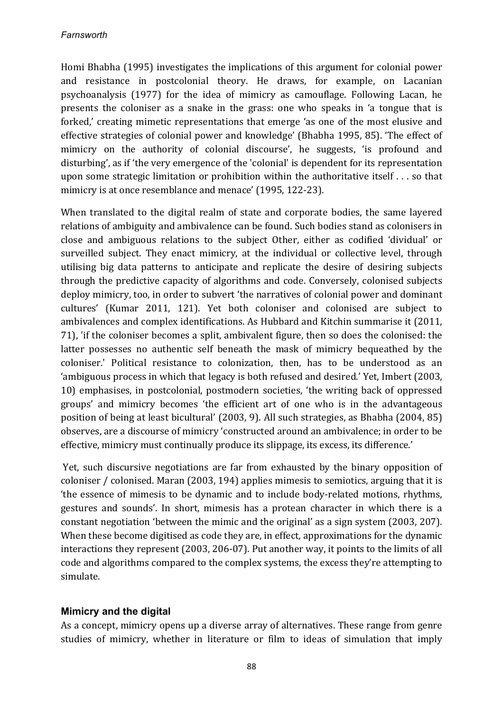Homi Bhabha (1995) investigates the implications of this argument for colonial power and resistance in postcolonial theory. He draws, for example, on Lacanian psychoanalysis (1977) for the idea of mimicry as camouflage. Following Lacan, he presents the coloniser as a snake in the grass: one who speaks in 'a tongue that is forked,' creating mimetic representations that emerge 'as one of the most elusive and effective strategies of colonial power and knowledge' (Bhabha 1995, 85). 'The effect of mimicry on the authority of colonial discourse', he suggests, 'is profound and disturbing', as if 'the very emergence of the 'colonial' is dependent for its representation upon some strategic limitation or prohibition within the authoritative itself  $\dots$  so that mimicry is at once resemblance and menace' (1995, 122-23).

When translated to the digital realm of state and corporate bodies, the same layered relations of ambiguity and ambivalence can be found. Such bodies stand as colonisers in close and ambiguous relations to the subject Other, either as codified 'dividual' or surveilled subject. They enact mimicry, at the individual or collective level, through utilising big data patterns to anticipate and replicate the desire of desiring subjects through the predictive capacity of algorithms and code. Conversely, colonised subjects deploy mimicry, too, in order to subvert 'the narratives of colonial power and dominant cultures' (Kumar 2011, 121). Yet both coloniser and colonised are subject to ambivalences and complex identifications. As Hubbard and Kitchin summarise it (2011, 71), 'if the coloniser becomes a split, ambivalent figure, then so does the colonised: the latter possesses no authentic self beneath the mask of mimicry bequeathed by the coloniser.' Political resistance to colonization, then, has to be understood as an 'ambiguous process in which that legacy is both refused and desired.' Yet, Imbert (2003, 10) emphasises, in postcolonial, postmodern societies, 'the writing back of oppressed groups' and mimicry becomes 'the efficient art of one who is in the advantageous position of being at least bicultural' (2003, 9). All such strategies, as Bhabha (2004, 85) observes, are a discourse of mimicry 'constructed around an ambivalence; in order to be effective, mimicry must continually produce its slippage, its excess, its difference.'

Yet, such discursive negotiations are far from exhausted by the binary opposition of coloniser / colonised. Maran (2003, 194) applies mimesis to semiotics, arguing that it is 'the essence of mimesis to be dynamic and to include body-related motions, rhythms, gestures and sounds'. In short, mimesis has a protean character in which there is a constant negotiation 'between the mimic and the original' as a sign system (2003, 207). When these become digitised as code they are, in effect, approximations for the dynamic interactions they represent (2003, 206-07). Put another way, it points to the limits of all code and algorithms compared to the complex systems, the excess they're attempting to simulate. 

# **Mimicry and the digital**

As a concept, mimicry opens up a diverse array of alternatives. These range from genre studies of mimicry, whether in literature or film to ideas of simulation that imply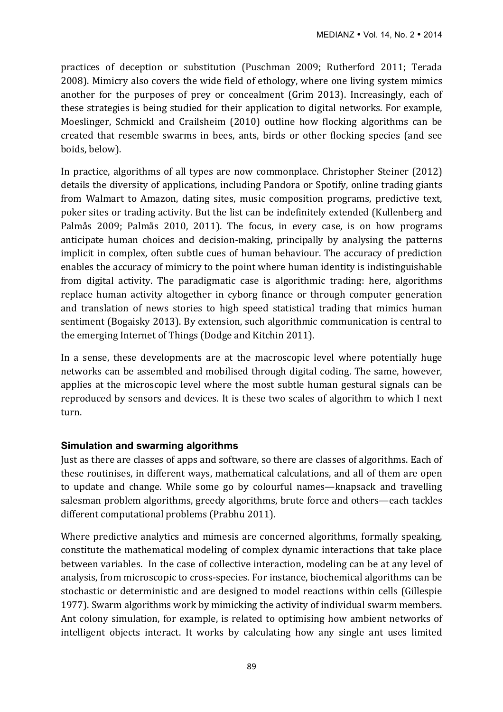practices of deception or substitution (Puschman 2009; Rutherford 2011; Terada 2008). Mimicry also covers the wide field of ethology, where one living system mimics another for the purposes of prey or concealment (Grim 2013). Increasingly, each of these strategies is being studied for their application to digital networks. For example, Moeslinger, Schmickl and Crailsheim (2010) outline how flocking algorithms can be created that resemble swarms in bees, ants, birds or other flocking species (and see boids, below).

In practice, algorithms of all types are now commonplace. Christopher Steiner (2012) details the diversity of applications, including Pandora or Spotify, online trading giants from Walmart to Amazon, dating sites, music composition programs, predictive text, poker sites or trading activity. But the list can be indefinitely extended (Kullenberg and Palmås 2009; Palmås 2010, 2011). The focus, in every case, is on how programs anticipate human choices and decision-making, principally by analysing the patterns implicit in complex, often subtle cues of human behaviour. The accuracy of prediction enables the accuracy of mimicry to the point where human identity is indistinguishable from digital activity. The paradigmatic case is algorithmic trading: here, algorithms replace human activity altogether in cyborg finance or through computer generation and translation of news stories to high speed statistical trading that mimics human sentiment (Bogaisky 2013). By extension, such algorithmic communication is central to the emerging Internet of Things (Dodge and Kitchin 2011).

In a sense, these developments are at the macroscopic level where potentially huge networks can be assembled and mobilised through digital coding. The same, however, applies at the microscopic level where the most subtle human gestural signals can be reproduced by sensors and devices. It is these two scales of algorithm to which I next turn.

### **Simulation and swarming algorithms**

Just as there are classes of apps and software, so there are classes of algorithms. Each of these routinises, in different ways, mathematical calculations, and all of them are open to update and change. While some go by colourful names—knapsack and travelling salesman problem algorithms, greedy algorithms, brute force and others—each tackles different computational problems (Prabhu 2011).

Where predictive analytics and mimesis are concerned algorithms, formally speaking, constitute the mathematical modeling of complex dynamic interactions that take place between variables. In the case of collective interaction, modeling can be at any level of analysis, from microscopic to cross-species. For instance, biochemical algorithms can be stochastic or deterministic and are designed to model reactions within cells (Gillespie 1977). Swarm algorithms work by mimicking the activity of individual swarm members. Ant colony simulation, for example, is related to optimising how ambient networks of intelligent objects interact. It works by calculating how any single ant uses limited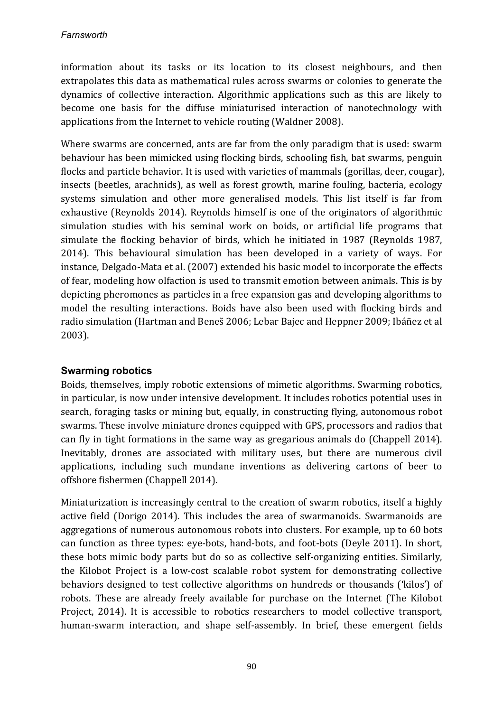information about its tasks or its location to its closest neighbours, and then extrapolates this data as mathematical rules across swarms or colonies to generate the dynamics of collective interaction. Algorithmic applications such as this are likely to become one basis for the diffuse miniaturised interaction of nanotechnology with applications from the Internet to vehicle routing (Waldner 2008).

Where swarms are concerned, ants are far from the only paradigm that is used: swarm behaviour has been mimicked using flocking birds, schooling fish, bat swarms, penguin flocks and particle behavior. It is used with varieties of mammals (gorillas, deer, cougar), insects (beetles, arachnids), as well as forest growth, marine fouling, bacteria, ecology systems simulation and other more generalised models. This list itself is far from exhaustive (Reynolds 2014). Reynolds himself is one of the originators of algorithmic simulation studies with his seminal work on boids, or artificial life programs that simulate the flocking behavior of birds, which he initiated in 1987 (Reynolds 1987, 2014). This behavioural simulation has been developed in a variety of ways. For instance, Delgado-Mata et al. (2007) extended his basic model to incorporate the effects of fear, modeling how olfaction is used to transmit emotion between animals. This is by depicting pheromones as particles in a free expansion gas and developing algorithms to model the resulting interactions. Boids have also been used with flocking birds and radio simulation (Hartman and Beneš 2006; Lebar Bajec and Heppner 2009; Ibáñez et al 2003).

# **Swarming robotics**

Boids, themselves, imply robotic extensions of mimetic algorithms. Swarming robotics, in particular, is now under intensive development. It includes robotics potential uses in search, foraging tasks or mining but, equally, in constructing flying, autonomous robot swarms. These involve miniature drones equipped with GPS, processors and radios that can fly in tight formations in the same way as gregarious animals do (Chappell 2014). Inevitably, drones are associated with military uses, but there are numerous civil applications, including such mundane inventions as delivering cartons of beer to offshore fishermen (Chappell 2014).

Miniaturization is increasingly central to the creation of swarm robotics, itself a highly active field (Dorigo 2014). This includes the area of swarmanoids. Swarmanoids are aggregations of numerous autonomous robots into clusters. For example, up to 60 bots can function as three types: eye-bots, hand-bots, and foot-bots (Deyle 2011). In short, these bots mimic body parts but do so as collective self-organizing entities. Similarly, the Kilobot Project is a low-cost scalable robot system for demonstrating collective behaviors designed to test collective algorithms on hundreds or thousands ('kilos') of robots. These are already freely available for purchase on the Internet (The Kilobot Project, 2014). It is accessible to robotics researchers to model collective transport, human-swarm interaction, and shape self-assembly. In brief, these emergent fields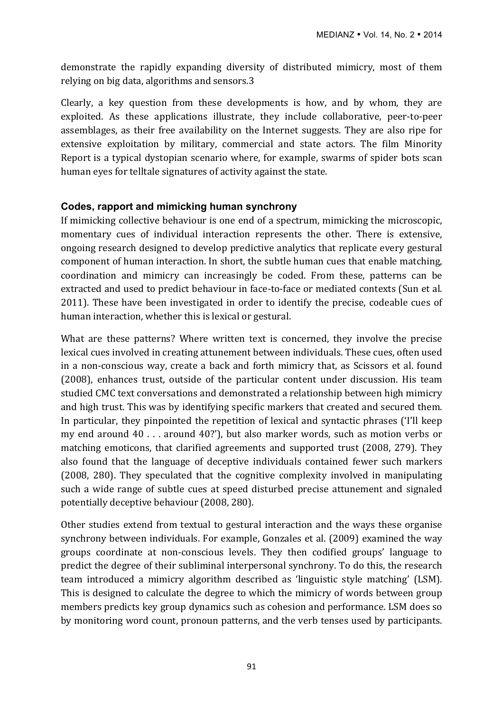demonstrate the rapidly expanding diversity of distributed mimicry, most of them relying on big data, algorithms and sensors.3

Clearly, a key question from these developments is how, and by whom, they are exploited. As these applications illustrate, they include collaborative, peer-to-peer assemblages, as their free availability on the Internet suggests. They are also ripe for extensive exploitation by military, commercial and state actors. The film Minority Report is a typical dystopian scenario where, for example, swarms of spider bots scan human eyes for telltale signatures of activity against the state.

# **Codes, rapport and mimicking human synchrony**

If mimicking collective behaviour is one end of a spectrum, mimicking the microscopic, momentary cues of individual interaction represents the other. There is extensive, ongoing research designed to develop predictive analytics that replicate every gestural component of human interaction. In short, the subtle human cues that enable matching, coordination and mimicry can increasingly be coded. From these, patterns can be extracted and used to predict behaviour in face-to-face or mediated contexts (Sun et al. 2011). These have been investigated in order to identify the precise, codeable cues of human interaction, whether this is lexical or gestural.

What are these patterns? Where written text is concerned, they involve the precise lexical cues involved in creating attunement between individuals. These cues, often used in a non-conscious way, create a back and forth mimicry that, as Scissors et al, found (2008), enhances trust, outside of the particular content under discussion. His team studied CMC text conversations and demonstrated a relationship between high mimicry and high trust. This was by identifying specific markers that created and secured them. In particular, they pinpointed the repetition of lexical and syntactic phrases ('I'll keep my end around 40 . . . around 40?'), but also marker words, such as motion verbs or matching emoticons, that clarified agreements and supported trust (2008, 279). They also found that the language of deceptive individuals contained fewer such markers (2008, 280). They speculated that the cognitive complexity involved in manipulating such a wide range of subtle cues at speed disturbed precise attunement and signaled potentially deceptive behaviour (2008, 280).

Other studies extend from textual to gestural interaction and the ways these organise synchrony between individuals. For example, Gonzales et al.  $(2009)$  examined the way groups coordinate at non-conscious levels. They then codified groups' language to predict the degree of their subliminal interpersonal synchrony. To do this, the research team introduced a mimicry algorithm described as 'linguistic style matching' (LSM). This is designed to calculate the degree to which the mimicry of words between group members predicts key group dynamics such as cohesion and performance. LSM does so by monitoring word count, pronoun patterns, and the verb tenses used by participants.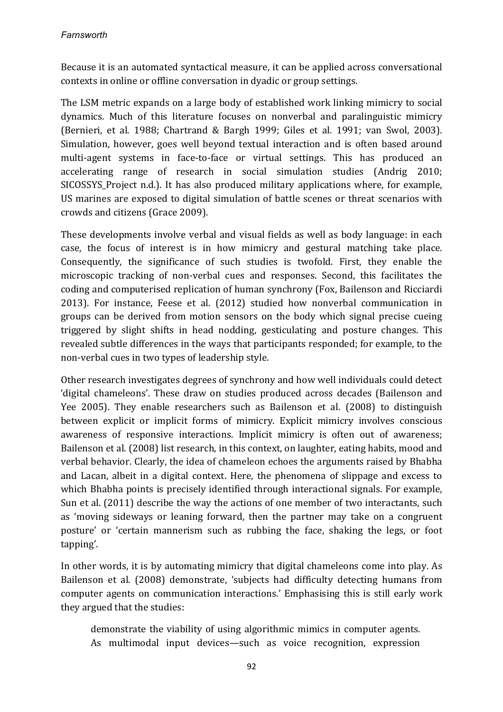Because it is an automated syntactical measure, it can be applied across conversational contexts in online or offline conversation in dyadic or group settings.

The LSM metric expands on a large body of established work linking mimicry to social dynamics. Much of this literature focuses on nonverbal and paralinguistic mimicry (Bernieri, et al. 1988; Chartrand & Bargh 1999; Giles et al. 1991; van Swol, 2003). Simulation, however, goes well beyond textual interaction and is often based around multi-agent systems in face-to-face or virtual settings. This has produced an accelerating range of research in social simulation studies (Andrig 2010; SICOSSYS Project n.d.). It has also produced military applications where, for example, US marines are exposed to digital simulation of battle scenes or threat scenarios with crowds and citizens (Grace 2009).

These developments involve verbal and visual fields as well as body language: in each case, the focus of interest is in how mimicry and gestural matching take place. Consequently, the significance of such studies is twofold. First, they enable the microscopic tracking of non-verbal cues and responses. Second, this facilitates the coding and computerised replication of human synchrony (Fox, Bailenson and Ricciardi 2013). For instance, Feese et al. (2012) studied how nonverbal communication in groups can be derived from motion sensors on the body which signal precise cueing triggered by slight shifts in head nodding, gesticulating and posture changes. This revealed subtle differences in the ways that participants responded; for example, to the non-verbal cues in two types of leadership style.

Other research investigates degrees of synchrony and how well individuals could detect 'digital chameleons'. These draw on studies produced across decades (Bailenson and Yee 2005). They enable researchers such as Bailenson et al. (2008) to distinguish between explicit or implicit forms of mimicry. Explicit mimicry involves conscious awareness of responsive interactions. Implicit mimicry is often out of awareness; Bailenson et al. (2008) list research, in this context, on laughter, eating habits, mood and verbal behavior. Clearly, the idea of chameleon echoes the arguments raised by Bhabha and Lacan, albeit in a digital context. Here, the phenomena of slippage and excess to which Bhabha points is precisely identified through interactional signals. For example, Sun et al. (2011) describe the way the actions of one member of two interactants, such as 'moving sideways or leaning forward, then the partner may take on a congruent posture' or 'certain mannerism such as rubbing the face, shaking the legs, or foot tapping'.

In other words, it is by automating mimicry that digital chameleons come into play. As Bailenson et al. (2008) demonstrate, 'subjects had difficulty detecting humans from computer agents on communication interactions.' Emphasising this is still early work they argued that the studies:

demonstrate the viability of using algorithmic mimics in computer agents. As multimodal input devices—such as voice recognition, expression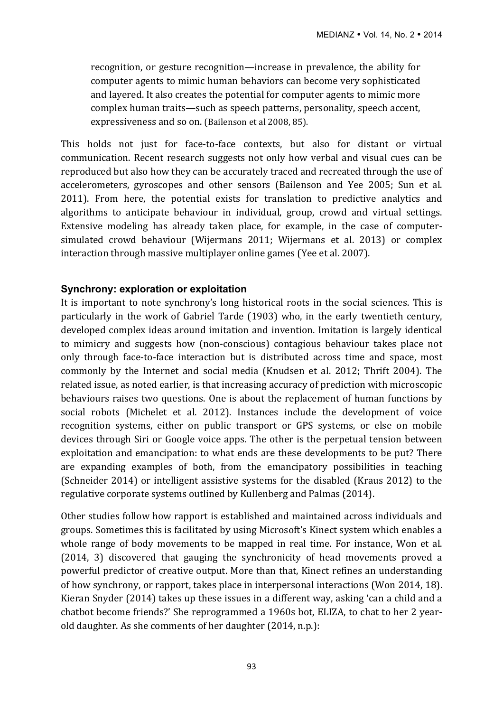recognition, or gesture recognition—increase in prevalence, the ability for computer agents to mimic human behaviors can become very sophisticated and layered. It also creates the potential for computer agents to mimic more complex human traits—such as speech patterns, personality, speech accent, expressiveness and so on. (Bailenson et al 2008, 85).

This holds not just for face-to-face contexts, but also for distant or virtual communication. Recent research suggests not only how verbal and visual cues can be reproduced but also how they can be accurately traced and recreated through the use of accelerometers, gyroscopes and other sensors (Bailenson and Yee 2005; Sun et al. 2011). From here, the potential exists for translation to predictive analytics and algorithms to anticipate behaviour in individual, group, crowd and virtual settings. Extensive modeling has already taken place, for example, in the case of computersimulated crowd behaviour (Wijermans 2011; Wijermans et al. 2013) or complex interaction through massive multiplayer online games (Yee et al. 2007).

#### **Synchrony: exploration or exploitation**

It is important to note synchrony's long historical roots in the social sciences. This is particularly in the work of Gabriel Tarde (1903) who, in the early twentieth century, developed complex ideas around imitation and invention. Imitation is largely identical to mimicry and suggests how (non-conscious) contagious behaviour takes place not only through face-to-face interaction but is distributed across time and space, most commonly by the Internet and social media (Knudsen et al. 2012; Thrift 2004). The related issue, as noted earlier, is that increasing accuracy of prediction with microscopic behaviours raises two questions. One is about the replacement of human functions by social robots (Michelet et al. 2012). Instances include the development of voice recognition systems, either on public transport or GPS systems, or else on mobile devices through Siri or Google voice apps. The other is the perpetual tension between exploitation and emancipation: to what ends are these developments to be put? There are expanding examples of both, from the emancipatory possibilities in teaching (Schneider 2014) or intelligent assistive systems for the disabled (Kraus 2012) to the regulative corporate systems outlined by Kullenberg and Palmas (2014).

Other studies follow how rapport is established and maintained across individuals and groups. Sometimes this is facilitated by using Microsoft's Kinect system which enables a whole range of body movements to be mapped in real time. For instance, Won et al. (2014, 3) discovered that gauging the synchronicity of head movements proved a powerful predictor of creative output. More than that, Kinect refines an understanding of how synchrony, or rapport, takes place in interpersonal interactions (Won 2014, 18). Kieran Snyder  $(2014)$  takes up these issues in a different way, asking 'can a child and a chatbot become friends?' She reprogrammed a 1960s bot, ELIZA, to chat to her 2 yearold daughter. As she comments of her daughter  $(2014, n.p.)$ :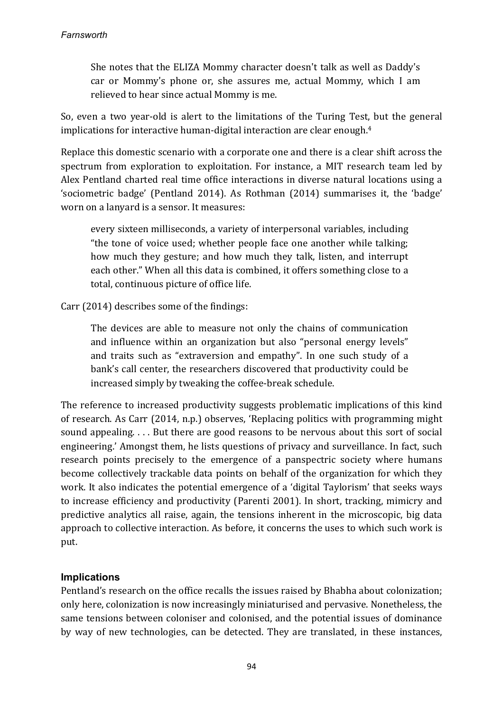#### *Farnsworth*

She notes that the ELIZA Mommy character doesn't talk as well as Daddy's car or Mommy's phone or, she assures me, actual Mommy, which I am relieved to hear since actual Mommy is me.

So, even a two year-old is alert to the limitations of the Turing Test, but the general implications for interactive human-digital interaction are clear enough.<sup>4</sup>

Replace this domestic scenario with a corporate one and there is a clear shift across the spectrum from exploration to exploitation. For instance, a MIT research team led by Alex Pentland charted real time office interactions in diverse natural locations using a 'sociometric badge' (Pentland 2014). As Rothman (2014) summarises it, the 'badge' worn on a lanyard is a sensor. It measures:

every sixteen milliseconds, a variety of interpersonal variables, including "the tone of voice used; whether people face one another while talking; how much they gesture; and how much they talk, listen, and interrupt each other." When all this data is combined, it offers something close to a total, continuous picture of office life.

 $Carr(2014)$  describes some of the findings:

The devices are able to measure not only the chains of communication and influence within an organization but also "personal energy levels" and traits such as "extraversion and empathy". In one such study of a bank's call center, the researchers discovered that productivity could be increased simply by tweaking the coffee-break schedule.

The reference to increased productivity suggests problematic implications of this kind of research. As Carr (2014, n.p.) observes, 'Replacing politics with programming might sound appealing.  $\dots$  But there are good reasons to be nervous about this sort of social engineering.' Amongst them, he lists questions of privacy and surveillance. In fact, such research points precisely to the emergence of a panspectric society where humans become collectively trackable data points on behalf of the organization for which they work. It also indicates the potential emergence of a 'digital Taylorism' that seeks ways to increase efficiency and productivity (Parenti 2001). In short, tracking, mimicry and predictive analytics all raise, again, the tensions inherent in the microscopic, big data approach to collective interaction. As before, it concerns the uses to which such work is put. 

# **Implications**

Pentland's research on the office recalls the issues raised by Bhabha about colonization; only here, colonization is now increasingly miniaturised and pervasive. Nonetheless, the same tensions between coloniser and colonised, and the potential issues of dominance by way of new technologies, can be detected. They are translated, in these instances,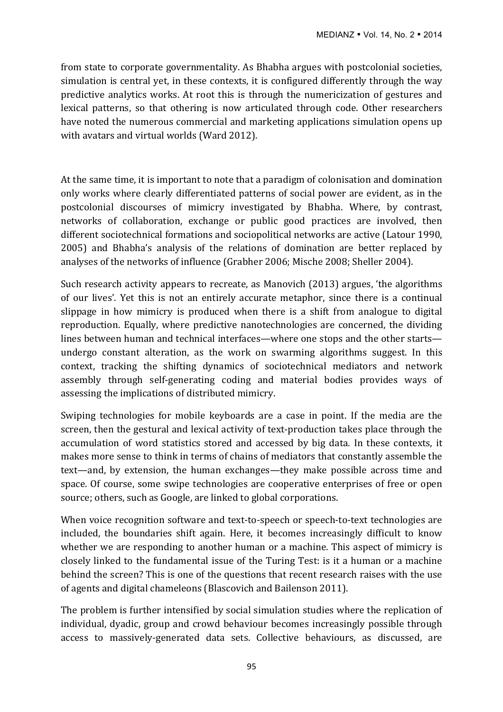from state to corporate governmentality. As Bhabha argues with postcolonial societies, simulation is central yet, in these contexts, it is configured differently through the way predictive analytics works. At root this is through the numericization of gestures and lexical patterns, so that othering is now articulated through code. Other researchers have noted the numerous commercial and marketing applications simulation opens up with avatars and virtual worlds (Ward 2012).

At the same time, it is important to note that a paradigm of colonisation and domination only works where clearly differentiated patterns of social power are evident, as in the postcolonial discourses of mimicry investigated by Bhabha. Where, by contrast, networks of collaboration, exchange or public good practices are involved, then different sociotechnical formations and sociopolitical networks are active (Latour 1990, 2005) and Bhabha's analysis of the relations of domination are better replaced by analyses of the networks of influence (Grabher 2006; Mische 2008; Sheller 2004).

Such research activity appears to recreate, as Manovich (2013) argues, 'the algorithms of our lives'. Yet this is not an entirely accurate metaphor, since there is a continual slippage in how mimicry is produced when there is a shift from analogue to digital reproduction. Equally, where predictive nanotechnologies are concerned, the dividing lines between human and technical interfaces—where one stops and the other starts undergo constant alteration, as the work on swarming algorithms suggest. In this context, tracking the shifting dynamics of sociotechnical mediators and network assembly through self-generating coding and material bodies provides ways of assessing the implications of distributed mimicry.

Swiping technologies for mobile keyboards are a case in point. If the media are the screen, then the gestural and lexical activity of text-production takes place through the accumulation of word statistics stored and accessed by big data. In these contexts, it makes more sense to think in terms of chains of mediators that constantly assemble the text—and, by extension, the human exchanges—they make possible across time and space. Of course, some swipe technologies are cooperative enterprises of free or open source; others, such as Google, are linked to global corporations.

When voice recognition software and text-to-speech or speech-to-text technologies are included, the boundaries shift again. Here, it becomes increasingly difficult to know whether we are responding to another human or a machine. This aspect of mimicry is closely linked to the fundamental issue of the Turing Test: is it a human or a machine behind the screen? This is one of the questions that recent research raises with the use of agents and digital chameleons (Blascovich and Bailenson 2011).

The problem is further intensified by social simulation studies where the replication of individual, dyadic, group and crowd behaviour becomes increasingly possible through access to massively-generated data sets. Collective behaviours, as discussed, are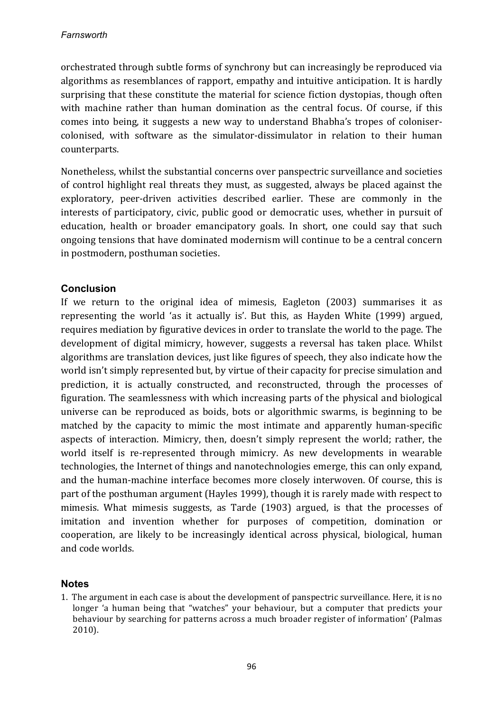orchestrated through subtle forms of synchrony but can increasingly be reproduced via algorithms as resemblances of rapport, empathy and intuitive anticipation. It is hardly surprising that these constitute the material for science fiction dystopias, though often with machine rather than human domination as the central focus. Of course, if this comes into being, it suggests a new way to understand Bhabha's tropes of colonisercolonised, with software as the simulator-dissimulator in relation to their human counterparts. 

Nonetheless, whilst the substantial concerns over panspectric surveillance and societies of control highlight real threats they must, as suggested, always be placed against the exploratory, peer-driven activities described earlier. These are commonly in the interests of participatory, civic, public good or democratic uses, whether in pursuit of education, health or broader emancipatory goals. In short, one could say that such ongoing tensions that have dominated modernism will continue to be a central concern in postmodern, posthuman societies.

# **Conclusion**

If we return to the original idea of mimesis, Eagleton  $(2003)$  summarises it as representing the world 'as it actually is'. But this, as Hayden White (1999) argued, requires mediation by figurative devices in order to translate the world to the page. The development of digital mimicry, however, suggests a reversal has taken place. Whilst algorithms are translation devices, just like figures of speech, they also indicate how the world isn't simply represented but, by virtue of their capacity for precise simulation and prediction, it is actually constructed, and reconstructed, through the processes of figuration. The seamlessness with which increasing parts of the physical and biological universe can be reproduced as boids, bots or algorithmic swarms, is beginning to be matched by the capacity to mimic the most intimate and apparently human-specific aspects of interaction. Mimicry, then, doesn't simply represent the world; rather, the world itself is re-represented through mimicry. As new developments in wearable technologies, the Internet of things and nanotechnologies emerge, this can only expand, and the human-machine interface becomes more closely interwoven. Of course, this is part of the posthuman argument (Hayles 1999), though it is rarely made with respect to mimesis. What mimesis suggests, as Tarde (1903) argued, is that the processes of imitation and invention whether for purposes of competition, domination or cooperation, are likely to be increasingly identical across physical, biological, human and code worlds.

# **Notes**

1. The argument in each case is about the development of panspectric surveillance. Here, it is no longer 'a human being that "watches" your behaviour, but a computer that predicts your behaviour by searching for patterns across a much broader register of information' (Palmas 2010).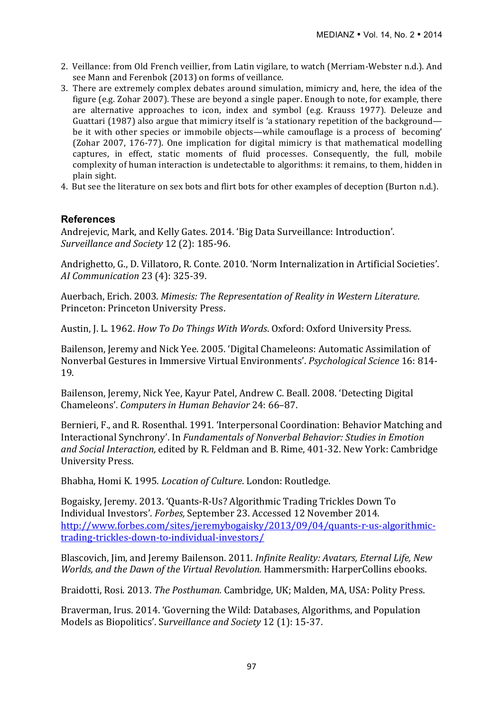- 2. Veillance: from Old French veillier, from Latin vigilare, to watch (Merriam-Webster n.d.). And see Mann and Ferenbok (2013) on forms of veillance.
- 3. There are extremely complex debates around simulation, mimicry and, here, the idea of the figure (e.g. Zohar 2007). These are beyond a single paper. Enough to note, for example, there are alternative approaches to icon, index and symbol (e.g. Krauss 1977). Deleuze and Guattari (1987) also argue that mimicry itself is 'a stationary repetition of the background be it with other species or immobile objects—while camouflage is a process of becoming' (Zohar 2007, 176-77). One implication for digital mimicry is that mathematical modelling captures, in effect, static moments of fluid processes. Consequently, the full, mobile complexity of human interaction is undetectable to algorithms: it remains, to them, hidden in plain sight.
- 4. But see the literature on sex bots and flirt bots for other examples of deception (Burton n.d.).

### **References**

Andrejevic, Mark, and Kelly Gates. 2014. 'Big Data Surveillance: Introduction'. *Surveillance and Society* 12 (2): 185-96.

Andrighetto, G., D. Villatoro, R. Conte. 2010. 'Norm Internalization in Artificial Societies'. *AI Communication* 23 (4): 325-39.

Auerbach, Erich. 2003. *Mimesis: The Representation of Reality in Western Literature.* Princeton: Princeton University Press.

Austin, J. L. 1962. *How To Do Things With Words*. Oxford: Oxford University Press.

Bailenson, Jeremy and Nick Yee. 2005. 'Digital Chameleons: Automatic Assimilation of Nonverbal Gestures in Immersive Virtual Environments'. *Psychological Science* 16: 814-19. 

Bailenson, Jeremy, Nick Yee, Kayur Patel, Andrew C. Beall. 2008. 'Detecting Digital Chameleons'. *Computers in Human Behavior* 24: 66-87.

Bernieri, F., and R. Rosenthal. 1991. 'Interpersonal Coordination: Behavior Matching and Interactional Synchrony'. In *Fundamentals of Nonverbal Behavior: Studies in Emotion* and Social Interaction, edited by R. Feldman and B. Rime, 401-32. New York: Cambridge University Press.

Bhabha, Homi K. 1995. *Location of Culture*. London: Routledge.

Bogaisky, Jeremy. 2013. 'Quants-R-Us? Algorithmic Trading Trickles Down To Individual Investors'. *Forbes*, September 23. Accessed 12 November 2014. http://www.forbes.com/sites/jeremybogaisky/2013/09/04/quants-r-us-algorithmictrading-trickles-down-to-individual-investors/

Blascovich, Jim, and Jeremy Bailenson. 2011. *Infinite Reality: Avatars, Eternal Life, New Worlds, and the Dawn of the Virtual Revolution.* Hammersmith: HarperCollins ebooks.

Braidotti, Rosi. 2013. *The Posthuman.* Cambridge, UK; Malden, MA, USA: Polity Press.

Braverman, Irus. 2014. 'Governing the Wild: Databases, Algorithms, and Population Models as Biopolitics'. Surveillance and Society 12 (1): 15-37.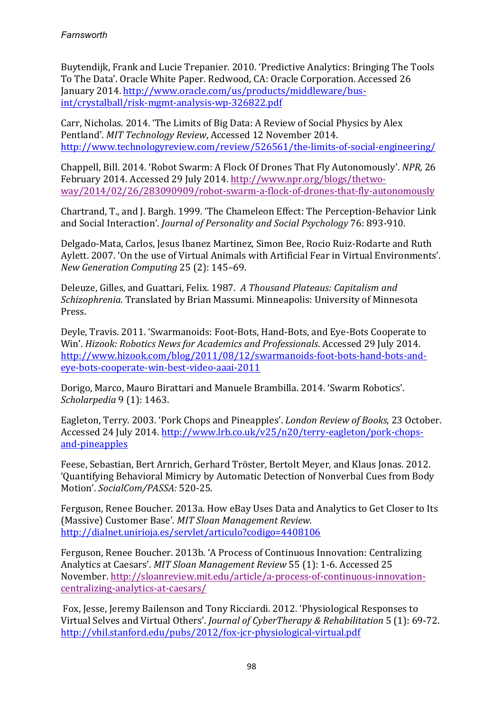Buytendijk, Frank and Lucie Trepanier. 2010. 'Predictive Analytics: Bringing The Tools To The Data'. Oracle White Paper. Redwood, CA: Oracle Corporation. Accessed 26 January 2014. http://www.oracle.com/us/products/middleware/busint/crystalball/risk-mgmt-analysis-wp-326822.pdf

Carr, Nicholas. 2014. 'The Limits of Big Data: A Review of Social Physics by Alex Pentland'. *MIT Technology Review*, Accessed 12 November 2014. http://www.technologyreview.com/review/526561/the-limits-of-social-engineering/

Chappell, Bill. 2014. 'Robot Swarm: A Flock Of Drones That Fly Autonomously'. *NPR*, 26 February 2014. Accessed 29 July 2014. http://www.npr.org/blogs/thetwoway/2014/02/26/283090909/robot-swarm-a-flock-of-drones-that-fly-autonomously

Chartrand, T., and J. Bargh. 1999. 'The Chameleon Effect: The Perception-Behavior Link and Social Interaction'. *Journal of Personality and Social Psychology* 76: 893-910.

Delgado-Mata, Carlos, Jesus Ibanez Martinez, Simon Bee, Rocio Ruiz-Rodarte and Ruth Aylett. 2007. 'On the use of Virtual Animals with Artificial Fear in Virtual Environments'. *New Generation Computing* 25 (2): 145–69.

Deleuze, Gilles, and Guattari, Felix. 1987. A Thousand Plateaus: Capitalism and *Schizophrenia*. Translated by Brian Massumi. Minneapolis: University of Minnesota Press.

Deyle, Travis. 2011. 'Swarmanoids: Foot-Bots, Hand-Bots, and Eye-Bots Cooperate to Win'. *Hizook: Robotics News for Academics and Professionals*. Accessed 29 July 2014. http://www.hizook.com/blog/2011/08/12/swarmanoids-foot-bots-hand-bots-andeye-bots-cooperate-win-best-video-aaai-2011

Dorigo, Marco, Mauro Birattari and Manuele Brambilla. 2014. 'Swarm Robotics'. *Scholarpedia* 9 (1): 1463.

Eagleton, Terry. 2003. 'Pork Chops and Pineapples'. *London Review of Books*, 23 October. Accessed 24 July 2014. http://www.lrb.co.uk/v25/n20/terry-eagleton/pork-chopsand-pineapples

Feese, Sebastian, Bert Arnrich, Gerhard Tröster, Bertolt Meyer, and Klaus Jonas. 2012. 'Quantifying Behavioral Mimicry by Automatic Detection of Nonverbal Cues from Body Motion'. *SocialCom/PASSA:* 520-25.

Ferguson, Renee Boucher. 2013a. How eBay Uses Data and Analytics to Get Closer to Its (Massive) Customer Base'. *MIT Sloan Management Review.* http://dialnet.unirioja.es/servlet/articulo?codigo=4408106

Ferguson, Renee Boucher. 2013b. 'A Process of Continuous Innovation: Centralizing Analytics at Caesars'. *MIT Sloan Management Review* 55 (1): 1-6. Accessed 25 November. http://sloanreview.mit.edu/article/a-process-of-continuous-innovationcentralizing-analytics-at-caesars/

Fox, Jesse, Jeremy Bailenson and Tony Ricciardi. 2012. 'Physiological Responses to Virtual Selves and Virtual Others'. *Journal of CyberTherapy & Rehabilitation* 5 (1): 69-72. http://vhil.stanford.edu/pubs/2012/fox-jcr-physiological-virtual.pdf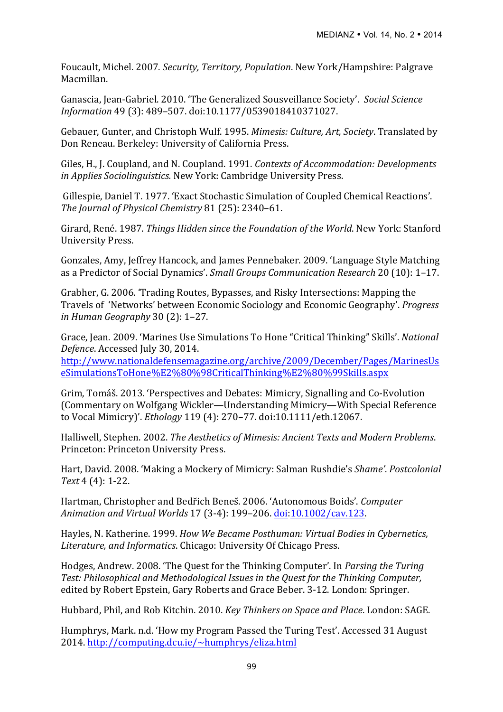Foucault, Michel. 2007. *Security, Territory, Population*. New York/Hampshire: Palgrave Macmillan.

Ganascia, Jean-Gabriel. 2010. 'The Generalized Sousveillance Society'. *Social Science Information* 49 (3): 489–507. doi:10.1177/0539018410371027.

Gebauer, Gunter, and Christoph Wulf. 1995. *Mimesis: Culture, Art, Society*. Translated by Don Reneau. Berkeley: University of California Press.

Giles, H., J. Coupland, and N. Coupland. 1991. *Contexts of Accommodation: Developments in Applies Sociolinguistics.* New York: Cambridge University Press.

Gillespie, Daniel T. 1977. 'Exact Stochastic Simulation of Coupled Chemical Reactions'. The Journal of Physical Chemistry 81 (25): 2340-61.

Girard, René. 1987. *Things Hidden since the Foundation of the World*. New York: Stanford University Press.

Gonzales, Amy, Jeffrey Hancock, and James Pennebaker. 2009. 'Language Style Matching as a Predictor of Social Dynamics'. *Small Groups Communication Research* 20 (10): 1-17.

Grabher, G. 2006. 'Trading Routes, Bypasses, and Risky Intersections: Mapping the Travels of 'Networks' between Economic Sociology and Economic Geography'. *Progress in Human Geography* 30 (2): 1–27.

Grace, Jean. 2009. 'Marines Use Simulations To Hone "Critical Thinking" Skills'. *National Defence*. Accessed July 30, 2014.

http://www.nationaldefensemagazine.org/archive/2009/December/Pages/MarinesUs eSimulationsToHone%E2%80%98CriticalThinking%E2%80%99Skills.aspx

Grim, Tomáš. 2013. 'Perspectives and Debates: Mimicry, Signalling and Co-Evolution (Commentary on Wolfgang Wickler—Understanding Mimicry—With Special Reference to Vocal Mimicry)'. *Ethology* 119 (4): 270–77. doi:10.1111/eth.12067.

Halliwell, Stephen. 2002. *The Aesthetics of Mimesis: Ancient Texts and Modern Problems.* Princeton: Princeton University Press.

Hart, David. 2008. 'Making a Mockery of Mimicry: Salman Rushdie's *Shame'. Postcolonial Text* 4 (4): 1-22.

Hartman, Christopher and Bedřich Beneš. 2006. 'Autonomous Boids'. *Computer Animation and Virtual Worlds* 17 (3-4): 199–206. doi:10.1002/cav.123.

Hayles, N. Katherine. 1999. *How We Became Posthuman: Virtual Bodies in Cybernetics.* Literature, and *Informatics*. Chicago: University Of Chicago Press.

Hodges, Andrew. 2008. 'The Quest for the Thinking Computer'. In *Parsing the Turing Test: Philosophical and Methodological Issues in the Ouest for the Thinking Computer,* edited by Robert Epstein, Gary Roberts and Grace Beber. 3-12. London: Springer.

Hubbard, Phil, and Rob Kitchin. 2010. *Key Thinkers on Space and Place*. London: SAGE.

Humphrys, Mark. n.d. 'How my Program Passed the Turing Test'. Accessed 31 August 2014. http://computing.dcu.ie/~humphrys/eliza.html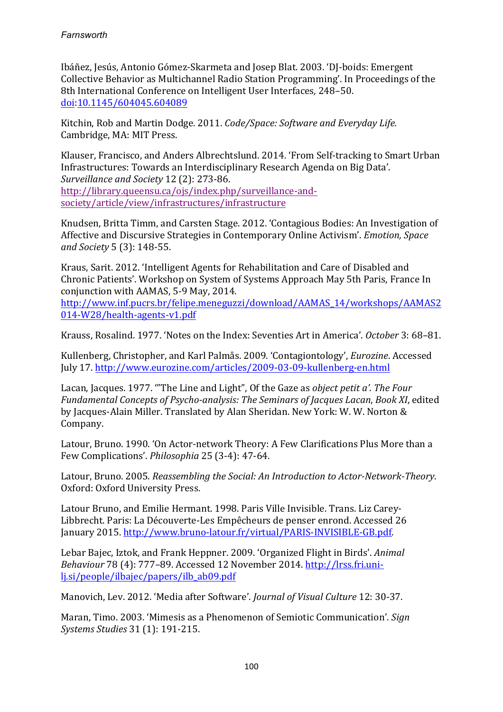Ibáñez, Jesús, Antonio Gómez-Skarmeta and Josep Blat. 2003. 'DJ-boids: Emergent Collective Behavior as Multichannel Radio Station Programming'. In Proceedings of the 8th International Conference on Intelligent User Interfaces, 248–50. doi:10.1145/604045.604089

Kitchin, Rob and Martin Dodge. 2011. *Code/Space: Software and Everyday Life.* Cambridge, MA: MIT Press.

Klauser, Francisco, and Anders Albrechtslund. 2014. 'From Self-tracking to Smart Urban Infrastructures: Towards an Interdisciplinary Research Agenda on Big Data'. Surveillance and Society 12 (2): 273-86. http://library.queensu.ca/ojs/index.php/surveillance-andsociety/article/view/infrastructures/infrastructure

Knudsen, Britta Timm, and Carsten Stage. 2012. 'Contagious Bodies: An Investigation of Affective and Discursive Strategies in Contemporary Online Activism'. *Emotion, Space* and Society 5 (3): 148-55.

Kraus, Sarit. 2012. 'Intelligent Agents for Rehabilitation and Care of Disabled and Chronic Patients'. Workshop on System of Systems Approach May 5th Paris, France In conjunction with AAMAS, 5-9 May, 2014.

http://www.inf.pucrs.br/felipe.meneguzzi/download/AAMAS\_14/workshops/AAMAS2 014-W28/health-agents-v1.pdf

Krauss, Rosalind. 1977. 'Notes on the Index: Seventies Art in America'. *October* 3: 68-81.

Kullenberg, Christopher, and Karl Palmås. 2009. 'Contagiontology', *Eurozine*. Accessed July 17. http://www.eurozine.com/articles/2009-03-09-kullenberg-en.html

Lacan, Jacques. 1977. "The Line and Light", Of the Gaze as *object petit a'*. The Four *Fundamental Concepts of Psycho-analysis: The Seminars of Jacques Lacan, Book XI, edited* by Jacques-Alain Miller. Translated by Alan Sheridan. New York: W. W. Norton & Company.

Latour, Bruno. 1990. 'On Actor-network Theory: A Few Clarifications Plus More than a Few Complications'. *Philosophia* 25 (3-4): 47-64.

Latour, Bruno. 2005. *Reassembling the Social: An Introduction to Actor-Network-Theory.* Oxford: Oxford University Press.

Latour Bruno, and Emilie Hermant. 1998. Paris Ville Invisible. Trans. Liz Carey-Libbrecht. Paris: La Découverte-Les Empêcheurs de penser enrond. Accessed 26 January 2015. http://www.bruno-latour.fr/virtual/PARIS-INVISIBLE-GB.pdf.

Lebar Bajec, Iztok, and Frank Heppner. 2009. 'Organized Flight in Birds'. *Animal Behaviour* 78 (4): 777-89. Accessed 12 November 2014. http://lrss.fri.unilj.si/people/ilbajec/papers/ilb\_ab09.pdf

Manovich, Lev. 2012. 'Media after Software'. *Journal of Visual Culture* 12: 30-37.

Maran, Timo. 2003. 'Mimesis as a Phenomenon of Semiotic Communication'. *Sign Systems Studies* 31 (1): 191-215.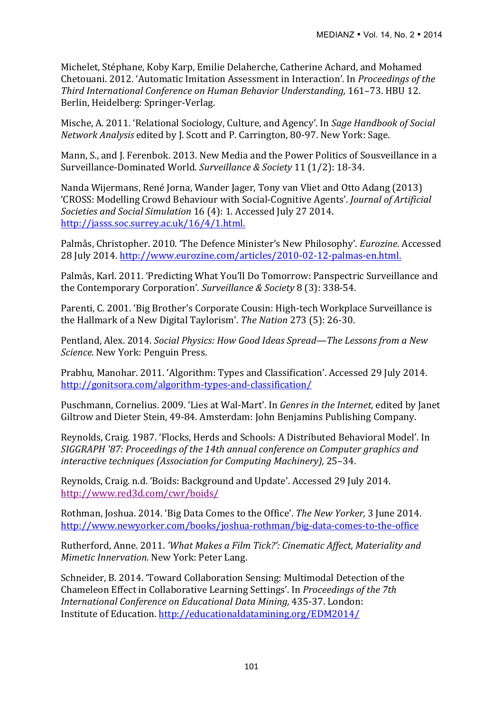Michelet, Stéphane, Koby Karp, Emilie Delaherche, Catherine Achard, and Mohamed Chetouani. 2012. 'Automatic Imitation Assessment in Interaction'. In *Proceedings of the Third International Conference on Human Behavior Understanding, 161–73. HBU 12.* Berlin, Heidelberg: Springer-Verlag.

Mische, A. 2011. 'Relational Sociology, Culture, and Agency'. In *Sage Handbook of Social Network Analysis* edited by J. Scott and P. Carrington, 80-97. New York: Sage.

Mann, S., and J. Ferenbok. 2013. New Media and the Power Politics of Sousveillance in a Surveillance-Dominated World. Surveillance & Society 11 (1/2): 18-34.

Nanda Wijermans, René Jorna, Wander Jager, Tony van Vliet and Otto Adang (2013) 'CROSS: Modelling Crowd Behaviour with Social-Cognitive Agents'. *Journal of Artificial Societies and Social Simulation* 16 (4): 1. Accessed July 27 2014. http://jasss.soc.surrey.ac.uk/16/4/1.html.

Palmås, Christopher. 2010. 'The Defence Minister's New Philosophy'. *Eurozine*. Accessed 28 July 2014. http://www.eurozine.com/articles/2010-02-12-palmas-en.html.

Palmås, Karl. 2011. 'Predicting What You'll Do Tomorrow: Panspectric Surveillance and the Contemporary Corporation'. Surveillance & Society 8 (3): 338-54.

Parenti, C. 2001. 'Big Brother's Corporate Cousin: High-tech Workplace Surveillance is the Hallmark of a New Digital Taylorism'. *The Nation* 273 (5): 26-30.

Pentland, Alex. 2014. *Social Physics: How Good Ideas Spread—The Lessons from a New Science*. New York: Penguin Press.

Prabhu, Manohar. 2011. 'Algorithm: Types and Classification'. Accessed 29 July 2014. http://gonitsora.com/algorithm-types-and-classification/

Puschmann, Cornelius. 2009. 'Lies at Wal-Mart'. In *Genres in the Internet*, edited by Janet Giltrow and Dieter Stein, 49-84. Amsterdam: John Benjamins Publishing Company.

Reynolds, Craig. 1987. 'Flocks, Herds and Schools: A Distributed Behavioral Model'. In *SIGGRAPH* '87: Proceedings of the 14th annual conference on Computer graphics and *interactive techniques (Association for Computing Machinery),* 25–34.

Reynolds, Craig. n.d. 'Boids: Background and Update'. Accessed 29 July 2014. http://www.red3d.com/cwr/boids/

Rothman, Joshua, 2014. 'Big Data Comes to the Office'. *The New Yorker*, 3 June 2014. http://www.newyorker.com/books/joshua-rothman/big-data-comes-to-the-office

Rutherford, Anne. 2011. *'What Makes a Film Tick?': Cinematic Affect, Materiality and Mimetic Innervation.* New York: Peter Lang.

Schneider, B. 2014. 'Toward Collaboration Sensing: Multimodal Detection of the Chameleon Effect in Collaborative Learning Settings'. In *Proceedings of the 7th International Conference on Educational Data Mining, 435-37. London:* Institute of Education. http://educationaldatamining.org/EDM2014/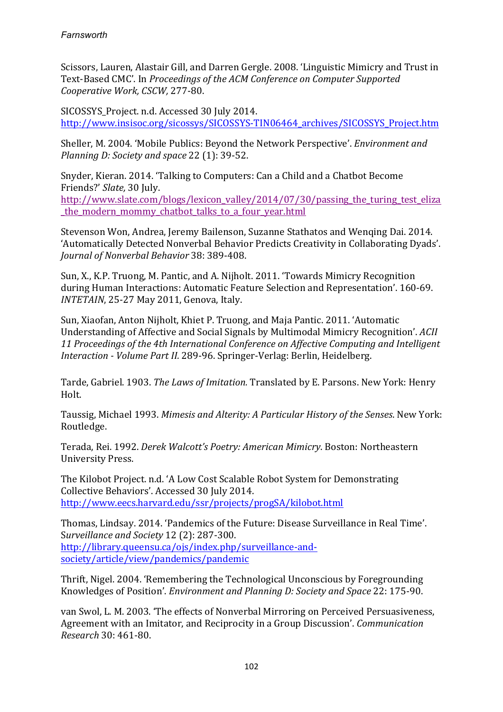Scissors, Lauren, Alastair Gill, and Darren Gergle. 2008. 'Linguistic Mimicry and Trust in Text-Based CMC'. In *Proceedings of the ACM Conference on Computer Supported Cooperative Work, CSCW,* 277-80.

SICOSSYS Project. n.d. Accessed 30 July 2014. http://www.insisoc.org/sicossys/SICOSSYS-TIN06464\_archives/SICOSSYS\_Project.htm

Sheller, M. 2004. 'Mobile Publics: Beyond the Network Perspective'. *Environment and Planning D: Society and space* 22 (1): 39-52.

Snyder, Kieran. 2014. 'Talking to Computers: Can a Child and a Chatbot Become Friends?' *Slate,* 30 July. 

http://www.slate.com/blogs/lexicon\_valley/2014/07/30/passing\_the\_turing\_test\_eliza the modern mommy chatbot talks to a four year.html

Stevenson Won, Andrea, Jeremy Bailenson, Suzanne Stathatos and Wenging Dai. 2014. 'Automatically Detected Nonverbal Behavior Predicts Creativity in Collaborating Dyads'. *Journal of Nonverbal Behavior* 38: 389-408.

Sun, X., K.P. Truong, M. Pantic, and A. Nijholt. 2011. 'Towards Mimicry Recognition during Human Interactions: Automatic Feature Selection and Representation'. 160-69. *INTETAIN*, 25-27 May 2011, Genova, Italy.

Sun, Xiaofan, Anton Nijholt, Khiet P. Truong, and Maja Pantic. 2011. 'Automatic Understanding of Affective and Social Signals by Multimodal Mimicry Recognition'. *ACII* 11 Proceedings of the 4th International Conference on Affective Computing and Intelligent *Interaction* - *Volume Part II.* 289-96. Springer-Verlag: Berlin, Heidelberg.

Tarde, Gabriel. 1903. *The Laws of Imitation*. Translated by E. Parsons. New York: Henry Holt.

Taussig, Michael 1993. *Mimesis and Alterity: A Particular History of the Senses*. New York: Routledge.

Terada, Rei. 1992. *Derek Walcott's Poetry: American Mimicry*. Boston: Northeastern University Press.

The Kilobot Project. n.d. 'A Low Cost Scalable Robot System for Demonstrating Collective Behaviors'. Accessed 30 July 2014. http://www.eecs.harvard.edu/ssr/projects/progSA/kilobot.html

Thomas, Lindsay. 2014. 'Pandemics of the Future: Disease Surveillance in Real Time'. Surveillance and Society 12 (2): 287-300. http://library.queensu.ca/ojs/index.php/surveillance-andsociety/article/view/pandemics/pandemic

Thrift, Nigel. 2004. 'Remembering the Technological Unconscious by Foregrounding Knowledges of Position'. *Environment and Planning D: Society and Space* 22: 175-90.

van Swol, L. M. 2003. 'The effects of Nonverbal Mirroring on Perceived Persuasiveness, Agreement with an Imitator, and Reciprocity in a Group Discussion'. *Communication Research* 30: 461-80.